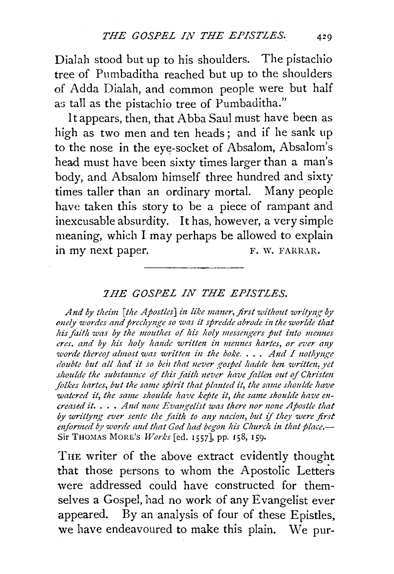Dialah stood but up to his shoulders. The pistachio tree of Pumbaditha reached but up to the shoulders of Adda Dialah, and common people were but half as tall as the pistachio tree of Pumbaditha."

It appears, then, that Abba Saul must have been as high as two men and ten heads; and if he sank up to the nose in the eye-socket of Absalom, Absalom's head must have been sixty times larger than a man's body, and Absalom himself three hundred and sixty times taller than an ordinary mortal. Many people have taken this story to be a piece of rampant and inexcusable absurdity. It has, however, a very simple meaning, which I may perhaps be allowed to explain in my next paper. F. W. FARRAR.

## *7HE GOSPEL IN THE EPISTLES.*

And by theim [the Apostles] in like maner, first without writyng by *onely wordes and preclzynge so was z"t spredde abrode z"n the worlde that his faith was by the mouthes of his holy messengers put into mennes* eres, and by his holy hande written in mennes hartes, or ever any *worde thereof almost was written in the boke.... And I nothynge doubte but all had it so ben that never gospel hadde ben written, yet* shoulde the substaunce of this faith never have fallen out of Christen *folkes hartes, but the same spirit that planted it, the same shoulde have* watered it, the same shoulde have kepte it, the same shoulde have en*creased it.* . . . And none Evangelist was there nor none Apostle that *by wriltyng ever smte the faitlz to any nacion, but* if *they were first enformed by worde and that God had begon his Church in that place.* Sir THOMAS MORE'S *Works* [ed. 1557], pp. 158, 159.

THE writer of the above extract evidently thought that those persons to whom the Apostolic Letters were addressed could have constructed for themselves a Gospel, had no work of any Evangelist ever appeared. By an analysis of four of these Epistles, we have endeavoured to make this plain. We pur-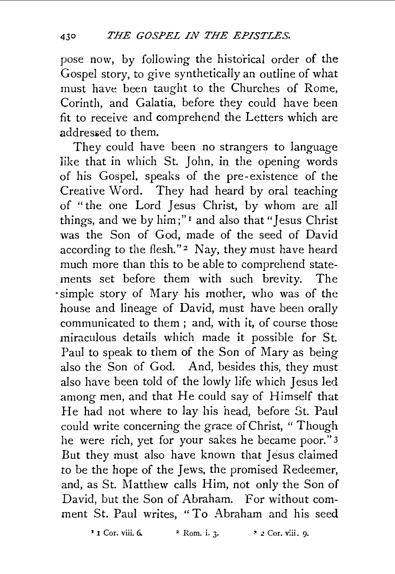pose now, by following the historical order of the Gospel story, to give synthetically an outline of what must have been taught to the Churches of Rome, Corinth, and Galatia, before they could have been fit to receive and comprehend the Letters which are addressed to them.

They could have been no strangers to language like that in which St. John, in the opening words of his Gospel, speaks of the pre-existence of the Creative Word. They had heard by oral teaching of "the one Lord Jesus Christ, by whom are all things, and we by  $\lim_{n \to \infty}$  and also that "Jesus Christ" was the Son of God, made of the seed of David according to the flesh."<sup>2</sup> Nay, they must have heard much more than this to be able to comprehend statements set before them with such brevity. The ·simple story of Mary his mother, who was of the house and lineage of David, must have been orally communicated to them ; and, with it, of course those miraculous details which made it possible for St. Paul to speak to them of the Son of Mary as being also the Son of God. And, besides this, they must also have been told of the lowly life which Jesus led among men, and that He could say of Himself that He had not where to lay his head, before St. 'Paul could write concerning the grace of Christ, " Though he were rich, yet for your sakes he became poor."3 But they must also have known that Jesus claimed *to* be the hope of the Jews, the promised Redeemer, and, as St. Matthew calls Him, not only the Son of David, but the Son of Abraham. For without comment St. Paul writes, "To Abraham and his seed

<sup>1</sup> I Cor. viii. 6. <sup>2</sup> Rom. i. 3. <sup>3</sup> <sup>2</sup> Cor. viii. 9.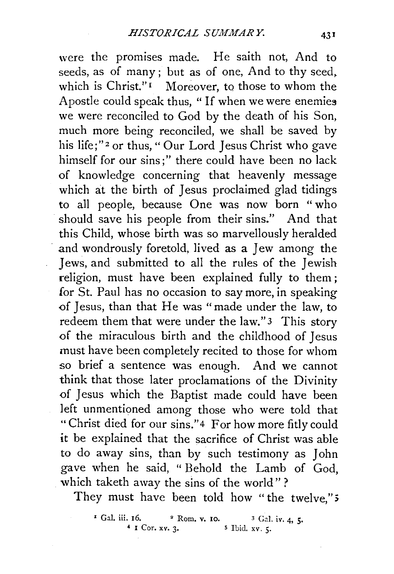were the promises made. He saith not, And to seeds, as of many ; but as of one, And to thy seed. which is Christ."<sup>1</sup> Moreover, to those to whom the Apostle could speak thus, "If when we were enemies we were reconciled to God by the death of his Son, much more being reconciled, we shall be saved by his life;"<sup>2</sup> or thus, "Our Lord Jesus Christ who gave himself for our sins;" there could have been no lack of knowledge concerning that heavenly message which at the birth of Jesus proclaimed glad tidings to all people, because One was now born " who should save his people from their sins." And that this Child, whose birth was so marvellously heralded and wondrously foretold, lived as a Jew among the Jews, and submitted to all the rules of the Jewish religion, must have been explained fully to them; for St. Paul has no occasion to say more, in speaking of Jesus, than that He was "made under the law, to redeem them that were under the law." 3 This story of the miraculous birth and the childhood of Jesus must have been completely recited to those for whom so brief a sentence was enough. And we cannot think that those later proclamations of the Divinity of Jesus which the Baptist made could have been left unmentioned among those who were told that "Christ died for our sins."4 For how more fitly could it be explained that the sacrifice of Christ was able to do away sins, than by such testimony as John gave when he said, " Behold the Lamb of God, which taketh away the sins of the world"?

They must have been told how " the twelve," 5

<sup>&</sup>lt;sup>1</sup> Gal. iii. 16. <sup>2</sup> Rom. v. 10. <sup>3</sup> Gal. iv. 4, 5.<br><sup>4</sup> I Cor. xv. 3. <sup>5</sup> Ibid. xv. 5.  $5$  Ibid.  $xy.$  5.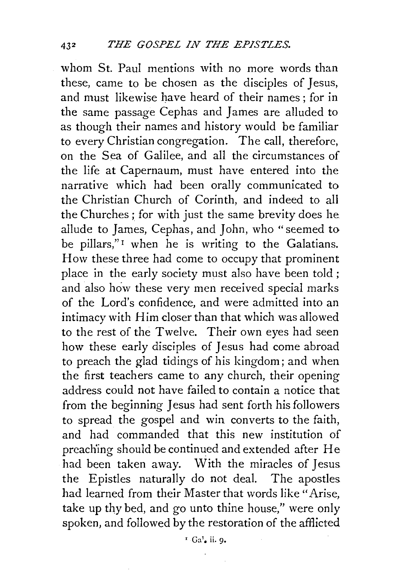whom St. Paul mentions with no more words than these, came to be chosen as the disciples of Jesus, and must likewise have heard of their names; for in the same passage Cephas and James are alluded to as though their names and history would be familiar to every Christian congregation. The call, therefore, on the Sea of Galilee, and all the circumstances of the life at Capernaum, must have entered into the narrative which had been orally communicated to the Christian Church of Corinth, and indeed to all the Churches; for with just the same brevity does he allude to James, Cephas, and John, who "seemed to be pillars,"<sup>I</sup> when he is writing to the Galatians. How these three had come to occupy that prominent place in the early society must also have been told; and also how these very men received special marks of the Lord's confidence, and were admitted into an intimacy with Him closer than that which was allowed to the rest of the Twelve. Their own eyes had seen how these early disciples of Jesus had come abroad to preach the glad tidings of his kingdom; and when the first teachers came to any church, their opening address could not have failed to contain a notice that from the beginning Jesus had sent forth his followers to spread the gospel and win converts to the faith, and had commanded that this new institution of preach'ing should be continued and extended after He had been taken away. With the miracles of Jesus the Epistles naturally do not deal. The apostles had learned from their Master that words like "Arise, take up thy bed, and go unto thine house," were only spoken, and followed by the restoration of the afflicted

 $L$  Ga<sup>1</sup>. ii. 9.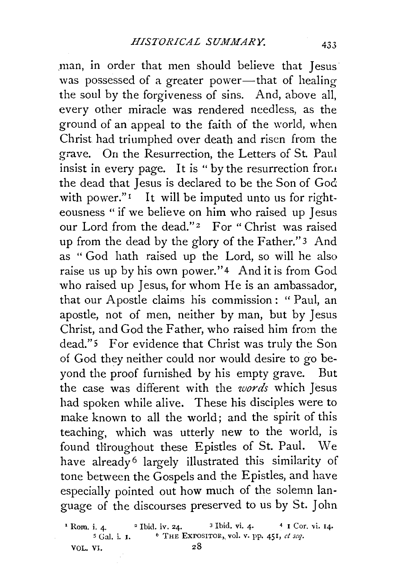,man, in order that men should believe that Jesus· was possessed of a greater power-that of healing the soul by the forgiveness of sins. And, above all, every other miracle was rendered needless, as the ground of an appeal to the faith of the world, when Christ had triumphed over death and risen from the grave. On the Resurrection, the Letters of St. Paul insist in every page. It is " by the resurrection from the dead that Jesus is declared to be the Son of God with power."<sup>1</sup> It will be imputed unto us for righteousness " if we believe on him who raised up Jesus our Lord from the dead."<sup>2</sup> For "Christ was raised up from the dead by the glory of the Father." 3 And as " God hath raised up the Lord, so will he also raise us up by his own power."<sup>4</sup> And it is from God who raised up Jesus, for whom He is an ambassador, that our Apostle claims his commission : " Paul, an apostle, not of men, neither by man, but by Jesus Christ, and God the Father, who raised him from the dead." 5 For evidence that Christ was truly the Son of God they neither could nor would desire to go beyond the proof furnished by his empty grave. But the case was different with the *words* which Jesus had spoken while alive. These his disciples were to make known to all the world; and the spirit of this teaching, which was utterly new to the world, is found throughout these Epistles of St. Paul. We have already<sup>6</sup> largely illustrated this similarity of tone between the Gospels and the Epistles, and have especially pointed out how much of the solemn language of the discourses preserved to us by St. John

<sup>1</sup> Rom. i. 4. <sup>2</sup> Ibid. iv. 24. <sup>3</sup> Ibid. vi. 4. <sup>4</sup> I Cor. vi. 14.  $5$  Gal. i. I. <sup>6</sup> THE EXPOSITOR, vol. v. pp. 451, *et seq.* VOL. VI.  $28$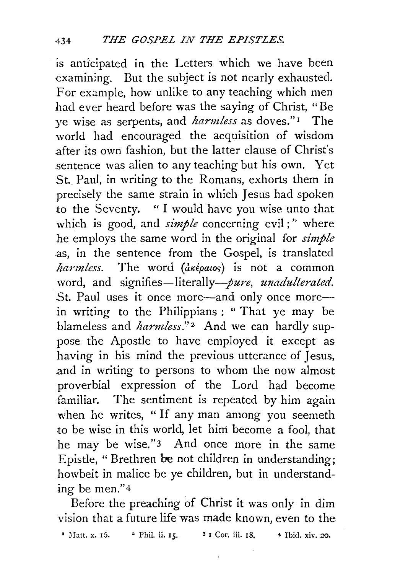is anticipated in the Letters which we have been examining. But the subject is not nearly exhausted. For example, how unlike to any teaching which men had ever heard before was the saying of Christ, "Be ye wise as serpents, and *harmless* as doves." I The world had encouraged the acquisition of wisdom after its own fashion, but the latter clause of Christ's sentence was alien to any teaching but his own. Yet St. Paul, in writing to the Romans, exhorts them in precisely the same strain in which Jesus had spoken to the Seventy. " I would have you wise unto that which is good, and *simple* concerning evil;" where he employs the same word in the original for *simple*  as, in the sentence from the Gospel, is translated  $harmless.$  The word  $(\hat{a} \kappa \hat{\epsilon} \rho a \iota o \varsigma)$  is not a common word, and signifies-literally-*pure*, *unadulterated*. St. Paul uses it once more—and only once more— .in writing to the Philippians : " That ye may be blameless and *harmless*."<sup>2</sup> And we can hardly suppose the Apostle to have employed it except as having in his mind the previous utterance of Jesus, .and in writing to persons to whom the now almost proverbial expression of the Lord had become familiar. The sentiment is repeated by him again when he writes, "If any man among you seemeth to be wise in this world, let him become a fool, that he may be wise."3 And once more in the same Epistle, "Brethren be not children in understanding; howbeit in malice be ye children, but in understanding be men." 4

Before the preaching of Christ it was only in dim vision that a future life was made known, even to the

<sup>1</sup> Matt. x. 15. <sup>2</sup> Phil. ii. 15. <sup>3</sup> I Cor. iii. 18. 4 Ibid. xiv. 20.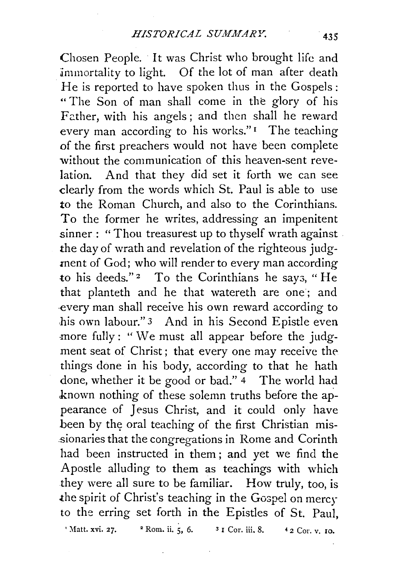Chosen People. · It was Christ who brought life and immortality to light. Of the lot of man after death He is reported to have spoken thus in the Gospels: " The Son of man shall come in the glory of his Father, with his angels; and then shall he reward every man according to his works." $\mathbf{r}$  The teaching of the first preachers would not have been complete without the communication of this heaven-sent revelation. And that they did set it forth we can see dearly from the words which St. Paul is able to use *to* the Roman Church, and also to the Corinthians. To the former he writes, addressing an impenitent sinner : " Thou treasurest up to thyself wrath against the day of wrath and revelation of the righteous judgment of God; who will render to every man according to his deeds."<sup>2</sup> To the Corinthians he says, "He that planteth and he that watereth are one ; and ·every man shall receive his own reward according to his own labour." 3 And in his Second Epistle even more fully: "We must all appear before the judgment seat of Christ; that every one may receive the things done in his body, according to that he hath done, whether it be good or bad." 4 The world had .known nothing of these solemn truths before the appearance of Jesus Christ, and it could only have been by the oral teaching of the first Christian mis-.sionaries that the congregations in Rome and Corinth had been instructed in them ; and yet we find the Apostle alluding to them as teachings with which they were all sure to be familiar. How truly, too, is the spirit of Christ's teaching in the Gospel on mercy to the erring set forth in the Epistles of St. Paul, ' Matt. xvi. 27. <sup>2</sup> Rom. ii. 5, 6. <sup>3</sup> I Cor. iii. 8.  $42$  Cor. v. 10.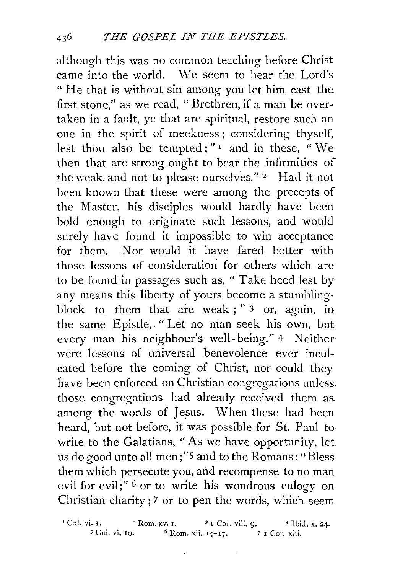although this was no common teaching before Christ came into the world. We seem to hear the Lord's " He that is without sin among you let him cast the first stone," as we read, " Brethren, if a man be overtaken in a fault, ye that are spiritual, restore such an one in the spirit of meekness ; considering thyself, lest thou also be tempted;" $\frac{1}{1}$  and in these, "We then that are strong ought to bear the infirmities of the weak, and not to please ourselves."<sup>2</sup> Had it not been known that these were among the precepts of the Master, his disciples would hardly have been bold enough to originate such lessons, and would surely have found it impossible to win acceptance for them. Nor would it have fared better with those lessons of consideration for others which are to be found in passages such as, " Take heed lest by any means this liberty of yours become a stumblingblock to them that arc weak ; " 3 or, again, in the same Epistle, " Let no man seek his own, but every man his neighbour's well- being." 4 Neither were lessons of universal benevolence ever inculcated before the coming of Christ, nor could they have been enforced on Christian congregations unless those congregations had already received them as. among the words of Jesus. When these had been heard, but not before, it was possible for St. Paul to write to the Galatians, "As we have opportunity, let. us do good unto all men;" 5 and to the Romans: "Bless. them which persecute you, and recompense to no man evil for evil;"<sup>6</sup> or to write his wondrous eulogy on Christian charity; 7 or to pen the words, which seem

<sup>1</sup> Gal. vi. I. <sup>2</sup> Rom. xv. I. <sup>3</sup> I Cor. viii. 9. <sup>4</sup> Ibid. x. 24. <sup>5</sup> Gal. vi. 10. <sup>6</sup> Rom. xii. 14–17. <sup>7</sup> I Cor. xiii.  $6$  Rom. xii. 14-17.  $7$  I Cor. xiii.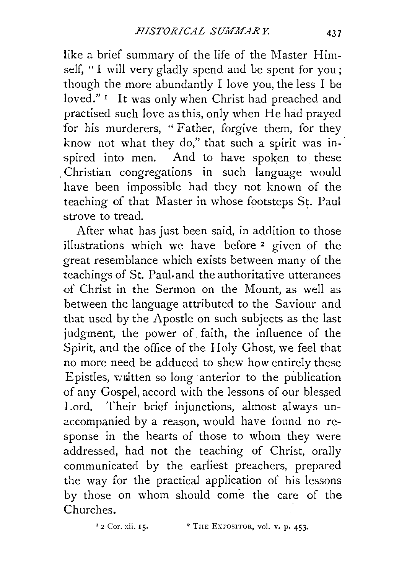like a brief summary of the life of the Master Himself, " I will very gladly spend and be spent for you ; though the more abundantly I love you, the less I be loved." I It was only when Christ had preached and practised such love as this, only when He had prayed for his murderers, "Father, forgive them, for they know not what they do," that such a spirit was inspired into men. And to have spoken to these . Christian congregations in such language would have been impossible had they not known of the teaching of that Master in whose footsteps St. Paul strove to tread.

After what has just been said, in addition to those illustrations which we have before 2 given of the great resemblance which exists between many of the teachings of St. Paul. and the authoritative utterances of Christ in the Sermon on the Mount, as well as between the language attributed to the Saviour and that used by the Apostle on such subjects as the last judgment, the power of faith, the influence of the Spirit, and the office of the Holy Ghost, we feel that no more need be adduced to shew how entirely these Epistles, written so long anterior to the publication of any Gospel, accord with the lessons of our blessed Lord. Their brief injunctions, almost always un accompanied by a reason, would have found no response in the hearts of those to whom they were addressed, had not the teaching of Christ, orally communicated by the earliest preachers, prepared the way for the practical application of his lessons by those on whom should come the care of the Churches.

 $12$  Cor. xii. 15.  $2 \text{ THE EXPOSTOR, vol. v. p. 453.}$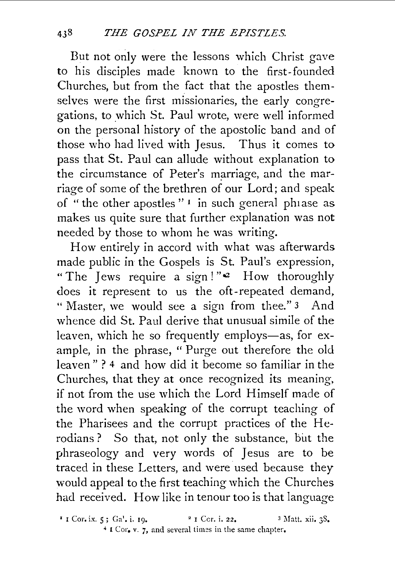But not only were the lessons which Christ gave to his disciples made known to the first-founded Churches, but from the fact that the apostles themselves were the first missionaries, the early congregations, to which St. Paul wrote, were well informed on the personal history of the apostolic band and of those who had lived with Jesus. Thus it comes to pass that St. Paul can allude without explanation to the circumstance of Peter's marriage, and the marriage of some of the brethren of our Lord; and speak of " the other apostles" <sup>1</sup> in such general phiase as makes us quite sure that further explanation was not needed by those to whom he was writing.

How entirely in accord with what was afterwards made public in the Gospels is St. Paul's expression, "The Jews require a sign!"<sup>2</sup> How thoroughly does it represent to us the oft-repeated demand, " Master, we would see a sign from thee." 3 And whence did St. Paul derive that unusual simile of the leaven, which he so frequently employs-as, for example, in the phrase, " Purge out therefore the old leaven" ? 4 and how did it become so familiar in the Churches, that they at once recognized its meaning, if not from the use which the Lord Himself made of the word when speaking of the corrupt teaching of the Pharisees and the corrupt practices of the Herodians? So that, not only the substance, but the phraseology and very words of Jesus are to be traced in these Letters, and were used because they would appeal to the first teaching which the Churches had received. How like in tenour too is that language

 $\frac{1}{2}$  I Cor. i. 22. 3 Matt. xii. 3S. <sup>4</sup> I Cor, v. 7, and several times in the same chapter.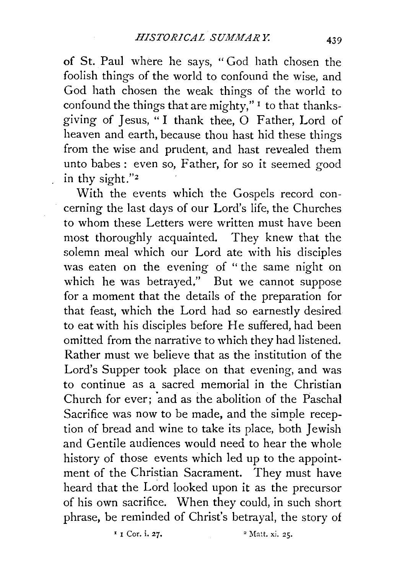of St. Paul where he says, " God hath chosen the foolish things of the world to confound the wise, and God hath chosen the weak things of the world to confound the things that are mighty," $\frac{1}{1}$  to that thanksgiving of Jesus, "I thank thee, 0 Father, Lord of heaven and earth, because thou hast hid these things from the wise and prudent, and hast revealed them unto babes: even so, Father, for so it seemed good in thy sight."z

With the events which the Gospels record concerning the last days of our Lord's life, the Churches to whom these Letters were written must have been most thoroughly acquainted. They knew that the solemn meal which our Lord ate with his disciples was eaten on the evening of " the same night on which he was betrayed," But we cannot suppose for a moment that the details of the preparation for that feast, which the Lord had so earnestly desired to eat with his disciples before He suffered, had been omitted from the narrative to which they had listened. Rather must we believe that as the institution of the Lord's Supper took place on that evening, and was to continue as a sacred memorial in the Christian Church for ever; and as the abolition of the Paschal Sacrifice was now to be made, and the simple reception of bread and wine to take its place, both Jewish and Gentile audiences would need to hear the whole history of those events which led up to the appointment of the Christian Sacrament. They must have heard that the Lord looked upon it as the precursor of his own sacrifice. When they could, in such short phrase, be reminded of Christ's betrayal, the story of

 $r_i$  Cor. i. 27.  $r_i$  and  $r_i$  Matt. xi. 25.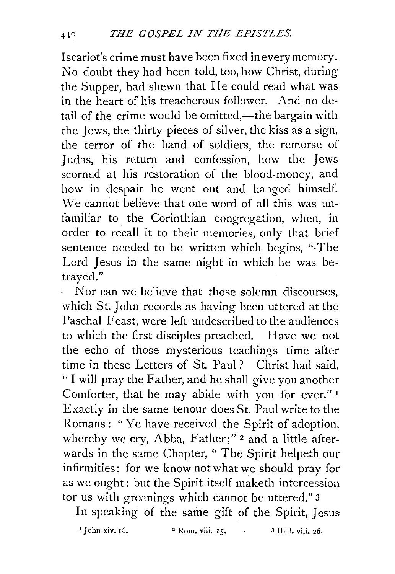Iscariot's crime must have been fixed in every memory. No doubt they had been told, too, how Christ, during the Supper, had shewn that He could read what was in the heart of his treacherous follower. And no detail of the crime would be omitted,—the bargain with the Jews, the thirty pieces of silver, the kiss as a sign, the terror of the band of soldiers, the remorse of Judas, his return and confession, how the Jews scorned at his restoration of the blood-money, and how in despair he went out and hanged himself. We cannot believe that one word of all this was unfamiliar to the Corinthian congregation, when, in order to recall it to their memories, only that brief sentence needed to be written which begins, "·The Lord Jesus in the same night in which he was betrayed."

Nor can we believe that those solemn discourses, which St. John records as having been uttered at the Paschal Feast, were left undescribed to the audiences to which the first disciples preached. Have we not the echo of those mysterious teachings time after time in these Letters of St. Paul ? Christ had said, "I will pray the Father, and he shall give you another Comforter, that he may abide with you for ever."<sup>1</sup> Exactly in the same tenour does St. Paul write to the Romans: "Ye have received the Spirit of adoption, whereby we cry, Abba, Father;"<sup>2</sup> and a little afterwards in the same Chapter, " The Spirit helpeth our infirmities: for we know not what we should pray for as we ought: but the Spirit itself maketh intercession for us with groanings which cannot be uttered." 3

In speaking of the same gift of the Spirit, Jesus

1 **John xiv.** 16. 2 **Rom. viii. 15.** ' Ibid. viii. 26.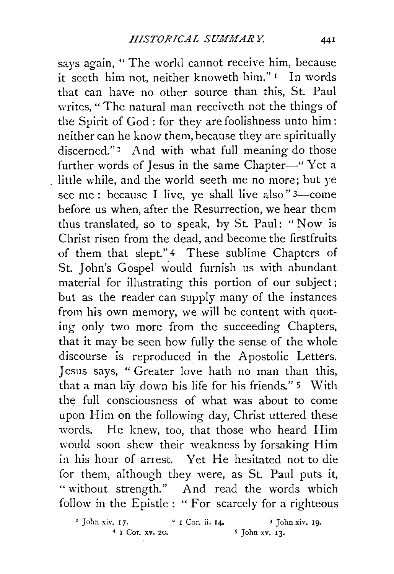says again, " The world cannot receive him, because it seeth him not, neither knoweth him." 1 In words that can have no other source than this, St. Paul writes, " The natural man receiveth not the things of the Spirit of God : for they are foolishness unto him: neither can he know them, because they are spiritually discerned."<sup>2</sup> And with what full meaning do those further words of Jesus in the same Chapter-" Yet a little while, and the world seeth me no more; but ye see me: because I live, ye shall live also  $"3$ -come before us when, after the Resurrection, we hear them thus translated, so to speak, by St. Paul: " Now is Christ risen from the dead, and become the firstfruits of them that slept." 4 These sublime Chapters of St. John's Gospel would furnish us with abundant material for illustrating this portion of our subject; but as the reader can supply many of the instances from his own memory, we will be content with quoting only two more from the succeeding Chapters, that it may be seen how fully the sense of the whole discourse is reproduced in the Apostolic Letters. Jesus says, " Greater love hath no man than this, that a man lay down his life for his friends." 5 With the full consciousness of what was about to come upon Him on the following day, Christ uttered these words. He knew, too, that those who heard Him would soon shew their weakness by forsaking Him in his hour of arrest. Yet He hesitated not to die for them, although they were, as St. Paul puts it, "without strength." And read the words which follow in the Epistle : " For scarcely for a righteous

 $\frac{1}{2}$  John xiv. 17.  $\frac{2}{1}$  Cor. ii. 14.  $\frac{3}{10}$  John xiv. 19.  $4 \tI Cor. xv. 20.$   $5 \tJohn xv. 13.$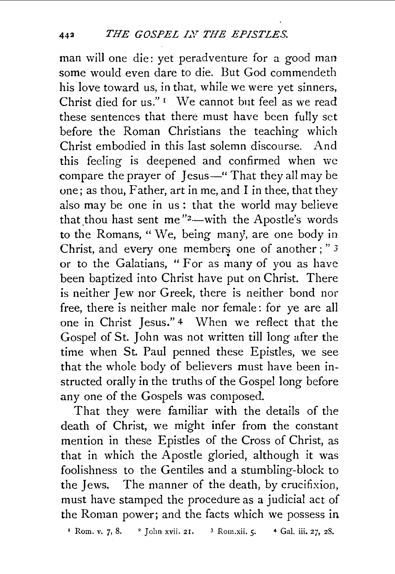man will one die: yet peradventure for a good man some would even dare to die. But God commendeth his love toward us, in that, while we were yet sinners, Christ died for us." $I$  We cannot but feel as we read these sentences that there must have been fully set before the Roman Christians the teaching which Christ embodied in this last solemn discourse. And this feeling is deepened and confirmed when we compare the prayer of Jesus-" That they all may be one; as thou, Father, art in me, and I in thee, that they also may be one in us: that the world may believe that thou hast sent me" $2$ -with the Apostle's words to the Romans, "We, being many, are one body in Christ, and every one members one of another ; " $3$ or to the Galatians, "For as many of you as have been baptized into Christ have put on Christ. There is neither Jew nor Greek, there is neither bond nor free, there is neither male nor female: for ye are all one in Christ Jesus." 4 When we reflect that the Gospel of St. John was not written till long after the time when St. Paul penned these Epistles, we see that the whole body of believers must have been instructed orally in the truths of the Gospel long before any one of the Gospels was composed.

That they were familiar with the details of the death of Christ, we might infer from the constant mention in these Epistles of the Cross of Christ, as that in which the Apostle gloried, although it was foolishness to the Gentiles and a stumbling-block to the Jews. The manner of the death, by crucifixion, must have stamped the procedure as a judicial act of the Roman power; and the facts which we possess in

<sup>1</sup> Rom. v. 7, 8. <sup>2</sup> John xvii. 21. <sup>3</sup> Rom.xii. 5. **4** Gal. iii. 27, 28.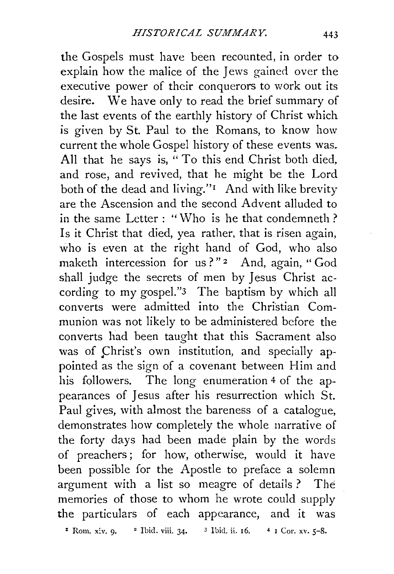the Gospels must have been recounted, in order to explain how the malice of the Jews gained over the executive power of their conquerors to work out its desire. We have only to read the brief summary of the last events of the earthly history of Christ which is given by St. Paul to the Romans, to know how current the whole Gospel history of these events was. All that he says is, " To this end Christ both died, and rose, and revived, that he might be the Lord both of the dead and living."<sup>I</sup> And with like brevity are the Ascension and the second Advent alluded to in the same Letter : " Who is he that condemneth ? Is it Christ that died, yea rather, that is risen again, who is even at the right hand of God, who also maketh intercession for us?"<sup>2</sup> And, again, "God shall judge the secrets of men by Jesus Christ according to my gospel."3 The baptism by which all converts were admitted into the Christian Communion was not likely to be administered before the converts had been taught that this Sacrament also was of Christ's own institution, and specially appointed as the sign of a covenant between Him and his followers. The long enumeration 4 of the appearances of Jesus after his resurrection which St. Paul gives, with almost the bareness of a catalogue, demonstrates how completely the whole narrative of the forty days had been made plain by the words of preachers ; for how, otherwise, would it have been possible for the Apostle to preface a solemn argument with a list so meagre of details ? The memories of those to whom he wrote could supply the particulars of each appearance, and it was  $:$  Rom. xiv. 9.  $:$  2 Ibid. viii. 34. 3 Ibid. ii. 16.  $:$  4 1 Cor. xv. 5-8.